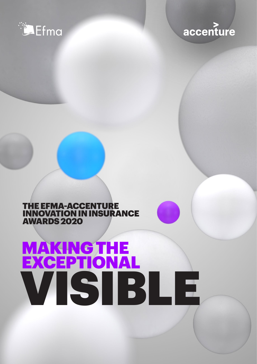

## accenture

## THE EFMA-ACCENTURE INNOVATION IN INSURANCE AWARDS 2020

# MAKING THE EXCEPTIONAL VISIBLE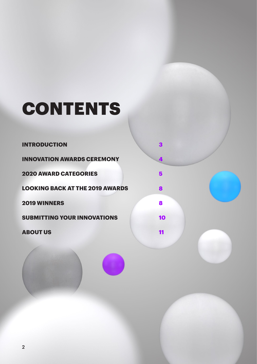# CONTENTS

#### **[INTRODUCTION](https://www.linkedin.com/company/accenture-in-south-africa/)**

**[INNOVATION AWARDS CEREMONY](https://web.facebook.com/AccentureSA/)**

**3**

**[4](https://web.facebook.com/AccentureSA/)**

**[5](mailto:mailto:n.n.mhangwani%40accenture.com?subject=)**

**8**

**8**

**[10](https://www.accenture.com/za-en/insights/insurance/future-workforce-insurance-survey)**

**[11](https://www.accenture.com/gb-en/insight-employee-experience-reimagined)**

**[2020 AWARD CATEGORIES](mailto:mailto:n.n.mhangwani%40accenture.com?subject=)**

**[LOOKING BACK AT THE 2019 AWARDS](mailto:n.n.mhangwani%40accenture.com?subject=)** 

**[2019 WINNERS](https://www.accenture.com/za-en/insights/banking/future-workforce-banking-survey)**

**[SUBMITTING YOUR INNOVATIONS](https://www.accenture.com/za-en/insights/insurance/future-workforce-insurance-survey)**

**[ABOUT US](https://www.accenture.com/gb-en/insight-employee-experience-reimagined)**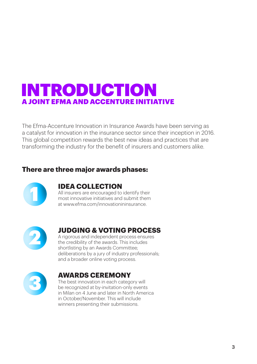## INTRODUCTION A JOINT EFMA AND ACCENTURE INITIATIVE

The Efma-Accenture Innovation in Insurance Awards have been serving as a catalyst for innovation in the insurance sector since their inception in 2016. This global competition rewards the best new ideas and practices that are transforming the industry for the benefit of insurers and customers alike.

## **There are three major awards phases:**



## **IDEA COLLECTION**

All insurers are encouraged to identify their most innovative initiatives and submit them at www.efma.com/innovationininsurance.



## **JUDGING & VOTING PROCESS**

A rigorous and independent process ensures the credibility of the awards. This includes shortlisting by an Awards Committee; deliberations by a jury of industry professionals; and a broader online voting process.



## **AWARDS CEREMONY**

The best innovation in each category will be recognized at by-invitation-only events in Milan on 4 June and later in North America in October/November. This will include winners presenting their submissions.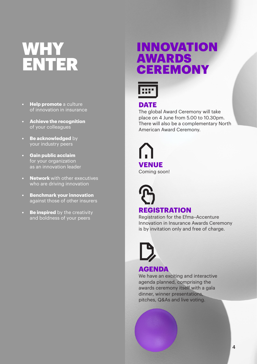# WHY ENTER

- **• Help promote** a culture of innovation in insurance
- **• Achieve the recognition**  of your colleagues
- **• Be acknowledged** by your industry peers
- **• Gain public acclaim**  for your organization as an innovation leader
- **• Network** with other executives who are driving innovation
- **• Benchmark your innovation**  against those of other insurers
- **• Be inspired** by the creativity and boldness of your peers

## INNOVATION AWARDS **CEREMONY**



## **DATE**

The global Award Ceremony will take place on 4 June from 5.00 to 10.30pm. There will also be a complementary North American Award Ceremony.

**VENUE** Coming soon!

**REGISTRATION**

Registration for the Efma–Accenture Innovation in Insurance Awards Ceremony is by invitation only and free of charge.



## **AGENDA**

We have an exciting and interactive agenda planned, comprising the awards ceremony itself with a gala dinner, winner presentations, pitches, Q&As and live voting.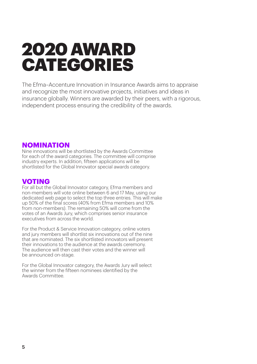# 2020 AWARD CATEGORIES

The Efma–Accenture Innovation in Insurance Awards aims to appraise and recognize the most innovative projects, initiatives and ideas in insurance globally. Winners are awarded by their peers, with a rigorous, independent process ensuring the credibility of the awards.

#### **NOMINATION**

Nine innovations will be shortlisted by the Awards Committee for each of the award categories. The committee will comprise industry experts. In addition, fifteen applications will be shortlisted for the Global Innovator special awards category.

## **VOTING**

For all but the Global Innovator category, Efma members and non-members will vote online between 6 and 17 May, using our dedicated web page to select the top three entries. This will make up 50% of the final scores (40% from Efma members and 10% from non-members). The remaining 50% will come from the votes of an Awards Jury, which comprises senior insurance executives from across the world.

For the Product & Service Innovation category, online voters and jury members will shortlist six innovations out of the nine that are nominated. The six shortlisted innovators will present their innovations to the audience at the awards ceremony. The audience will then cast their votes and the winner will be announced on-stage.

For the Global Innovator category, the Awards Jury will select the winner from the fifteen nominees identified by the Awards Committee.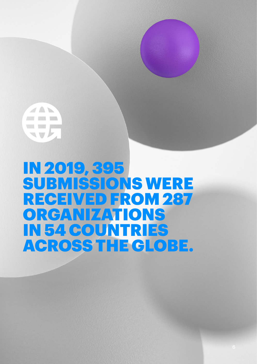**STATISTICS State Repair** TTE

IN 2019, 395 SUBMISSIONS WERE RECEIVED FROM 287 ORGANIZATIONS IN 54 COUNTRIES ACROSS THE GLOBE.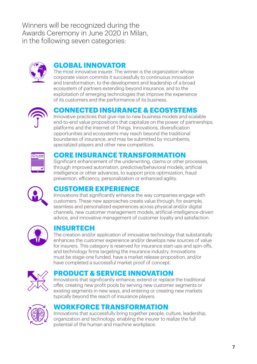Winners will be recognized during the Awards Ceremony in June 2020 in Milan, in the following seven categories:



## **GLOBAL INNOVATOR**

The most innovative insurer. The winner is the organization whose corporate vision commits it successfully to continuous innovation and transformation, to the development and leadership of a broad ecosystem of partners extending beyond insurance, and to the exploitation of emerging technologies that improve the experience of its customers and the performance of its business.



## **CONNECTED INSURANCE & ECOSYSTEMS**

Innovative practices that give rise to new business models and scalable end-to-end value propositions that capitalize on the power of partnerships, platforms and the Internet of Things. Innovations, diversification opportunities and ecosystems may reach beyond the traditional boundaries of insurance, and may be submitted by incumbents, specialized players and other new competitors.



## **CORE INSURANCE TRANSFORMATION**

Significant enhancement of the underwriting, claims or other processes, through improved automation, predictive/behavioral models, artificial intelligence or other advances, to support price optimization, fraud prevention, efficiency, personalization or enhanced agility.



### **CUSTOMER EXPERIENCE**

Innovations that significantly enhance the way companies engage with customers. These new approaches create value through, for example, seamless and personalized experiences across physical and/or digital channels, new customer management models, artificial-intelligence-driven advice, and innovative management of customer loyalty and satisfaction.



## **INSURTECH**

The creation and/or application of innovative technology that substantially enhances the customer experience and/or develops new sources of value for insurers. This category is reserved for insurance start-ups and spin-offs, and technology firms targeting the insurance industry. Innovations must be stage-one funded, have a market release proposition, and/or have completed a successful market proof of concept.



## **PRODUCT & SERVICE INNOVATION**

Innovations that significantly enhance, extend or replace the traditional offer, creating new profit pools by serving new customer segments or existing segments in new ways, and entering or creating new markets typically beyond the reach of insurance players.



## **WORKFORCE TRANSFORMATION**

Innovations that successfully bring together people, culture, leadership, organization and technology, enabling the insurer to realize the full potential of the human and machine workplace.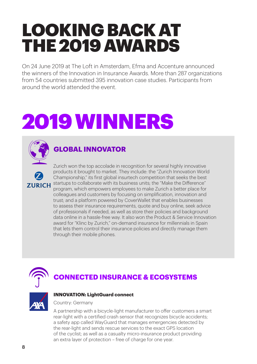# LOOKING BACK AT THE 2019 AWARDS

On 24 June 2019 at The Loft in Amsterdam, Efma and Accenture announced the winners of the Innovation in Insurance Awards. More than 287 organizations from 54 countries submitted 395 innovation case studies. Participants from around the world attended the event.

# 2019 WINNERS



## **GLOBAL INNOVATOR**

Zurich won the top accolade in recognition for several highly innovative products it brought to market. They include: the "Zurich Innovation World Championship," its first global insurtech competition that seeks the best ZURICH startups to collaborate with its business units; the "Make the Difference" program, which empowers employees to make Zurich a better place for colleagues and customers by focusing on simplification, innovation and trust; and a platform powered by CoverWallet that enables businesses to assess their insurance requirements, quote and buy online, seek advice of professionals if needed, as well as store their policies and background data online in a hassle-free way. It also won the Product & Service Innovation award for "Klinc by Zurich," on-demand insurance for millennials in Spain that lets them control their insurance policies and directly manage them through their mobile phones.



## **CONNECTED INSURANCE & ECOSYSTEMS**



#### **INNOVATION: LightGuard connect**

Country: Germany

A partnership with a bicycle-light manufacturer to offer customers a smart rear-light with a certified crash sensor that recognizes bicycle accidents; a safety app called WayGuard that manages emergencies detected by the rear-light and sends rescue services to the exact GPS location of the cyclist; as well as a casualty micro-insurance product providing an extra layer of protection – free of charge for one year.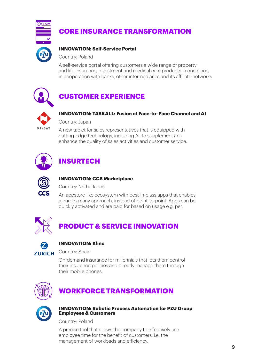

## **CORE INSURANCE TRANSFORMATION**

#### **INNOVATION: Self-Service Portal**

Country: Poland

A self-service portal offering customers a wide range of property and life insurance, investment and medical care products in one place, in cooperation with banks, other intermediaries and its affiliate networks.



## **CUSTOMER EXPERIENCE**



#### **INNOVATION: TASKALL: Fusion of Face-to- Face Channel and AI**

Country: Japan

A new tablet for sales representatives that is equipped with cutting-edge technology, including AI, to supplement and enhance the quality of sales activities and customer service.



## **INSURTECH**



#### **INNOVATION: CCS Marketplace**

Country: Netherlands

An appstore-like ecosystem with best-in-class apps that enables a one-to-many approach, instead of point-to-point. Apps can be quickly activated and are paid for based on usage e.g. per.



## **PRODUCT & SERVICE INNOVATION**



#### **INNOVATION: Klinc**

Country: Spain

On-demand insurance for millennials that lets them control their insurance policies and directly manage them through their mobile phones.



## **WORKFORCE TRANSFORMATION**



#### **INNOVATION: Robotic Process Automation for PZU Group Employees & Customers**

Country: Poland

A precise tool that allows the company to effectively use employee time for the benefit of customers, i.e. the management of workloads and efficiency.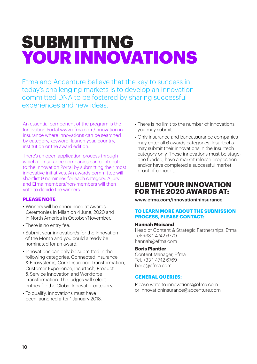# SUBMITTING YOUR INNOVATIONS

Efma and Accenture believe that the key to success in today's challenging markets is to develop an innovationcommitted DNA to be fostered by sharing successful experiences and new ideas.

An essential component of the program is the Innovation Portal www.efma.com/innovation in insurance where innovations can be searched by category, keyword, launch year, country, institution or the award edition.

There's an open application process through which all insurance companies can contribute to the Innovation Portal by submitting their most innovative initiatives. An awards committee will shortlist 9 nominees for each category. A jury and Efma members/non-members will then vote to decide the winners.

#### **PLEASE NOTE**

- Winners will be announced at Awards Ceremonies in Milan on 4 June, 2020 and in North America in October/November.
- There is no entry fee.
- Submit your innovation/s for the Innovation of the Month and you could already be nominated for an award.
- Innovations can only be submitted in the following categories: Connected Insurance & Ecosystems, Core Insurance Transformation, Customer Experience, Insurtech, Product & Service Innovation and Workforce Transformation. The judges will select entries for the Global Innovator category.
- To qualify, innovations must have been launched after 1 January 2018.
- There is no limit to the number of innovations you may submit.
- Only insurance and bancassurance companies may enter all 6 awards categories. Insurtechs may submit their innovations in the Insurtech category only. These innovations must be stageone funded, have a market release proposition, and/or have completed a successful market proof of concept.

## **SUBMIT YOUR INNOVATION FOR THE 2020 AWARDS AT:**

[www.efma.com/innovationininsurance](https://www.efma.com/innovationininsurance/)

#### **TO LEARN MORE ABOUT THE SUBMISSION PROCESS, PLEASE CONTACT:**

#### **Hannah Moisand**

Head of Content & Strategic Partnerships, Efma Tel: +33 1 4742 6770 hannah@efma.com

#### **Boris Plantier**

Content Manager, Efma Tel: +33 1 4742 6769 [boris@efma.com](mailto:boris%40efma.com%20?subject=EFMA-Accenture%20Innovation%20in%20Insurance%20Awards%202018%20submission)

#### **GENERAL QUERIES:**

Please write to [innovations@efma.com](mailto:innovations%40efma.com?subject=EFMA-Accenture%20Innovation%20in%20Insurance%20Awards%202018)  or [innovationinsurance@accenture.com](mailto:innovationinsurance%40accenture.com?subject=EFMA-Accenture%20Innovation%20in%20Insurance%20Awards%202018)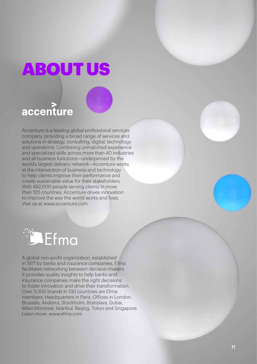# **OUT**

## accenture

Accenture is a leading global professional services company, providing a broad range of services and solutions in strategy, consulting, digital, technology and operations. Combining unmatched experience and specialized skills across more than 40 industries and all business functions—underpinned by the world's largest delivery network—Accenture works at the intersection of business and technology to help clients improve their performance and create sustainable value for their stakeholders. With 492,000 people serving clients in more than 120 countries, Accenture drives innovation to improve the way the world works and lives. Visit us at www.accenture.com.



A global non-profit organization, established in 1971 by banks and insurance companies, Efma facilitates networking between decision-makers. It provides quality insights to help banks and insurance companies make the right decisions to foster innovation and drive their transformation. Over 3,300 brands in 130 countries are Efma members. Headquarters in Paris. Offices in London, Brussels, Andorra, Stockholm, Bratislava, Dubai, Milan,Montreal, Istanbul, Beijing, Tokyo and Singapore. Learn more: [www.efma.com](http://www.efma.com)